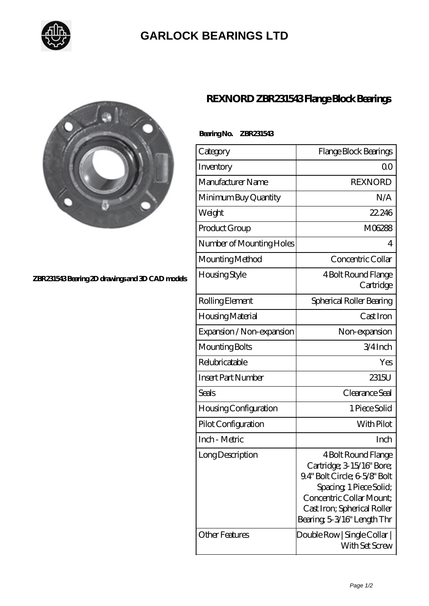

# **[GARLOCK BEARINGS LTD](https://m.letterstopriests.com)**



### **[ZBR231543 Bearing 2D drawings and 3D CAD models](https://m.letterstopriests.com/pic-188638.html)**

## **[REXNORD ZBR231543 Flange Block Bearings](https://m.letterstopriests.com/be-188638-rexnord-zbr231543-flange-block-bearings.html)**

#### **Bearing No. ZBR231543**

| Category                     | Flange Block Bearings                                                                                                                                                                                 |
|------------------------------|-------------------------------------------------------------------------------------------------------------------------------------------------------------------------------------------------------|
| Inventory                    | 00                                                                                                                                                                                                    |
| Manufacturer Name            | <b>REXNORD</b>                                                                                                                                                                                        |
| Minimum Buy Quantity         | N/A                                                                                                                                                                                                   |
| Weight                       | 22.246                                                                                                                                                                                                |
| Product Group                | M06288                                                                                                                                                                                                |
| Number of Mounting Holes     | 4                                                                                                                                                                                                     |
| Mounting Method              | Concentric Collar                                                                                                                                                                                     |
| Housing Style                | 4 Bolt Round Flange<br>Cartridge                                                                                                                                                                      |
| Rolling Element              | Spherical Roller Bearing                                                                                                                                                                              |
| Housing Material             | Cast Iron                                                                                                                                                                                             |
| Expansion / Non-expansion    | Non-expansion                                                                                                                                                                                         |
| Mounting Bolts               | 3/4Inch                                                                                                                                                                                               |
| Relubricatable               | Yes                                                                                                                                                                                                   |
| <b>Insert Part Number</b>    | 2315U                                                                                                                                                                                                 |
| Seals                        | Clearance Seal                                                                                                                                                                                        |
| <b>Housing Configuration</b> | 1 Piece Solid                                                                                                                                                                                         |
| Pilot Configuration          | With Pilot                                                                                                                                                                                            |
| Inch - Metric                | Inch                                                                                                                                                                                                  |
| Long Description             | 4 Bolt Round Flange<br>Cartridge; 3-15/16" Bore;<br>9.4" Bolt Circle; 6-5/8" Bolt<br>Spacing, 1 Piece Solid;<br>Concentric Collar Mount;<br>Cast Iron; Spherical Roller<br>Bearing 5-3/16" Length Thr |
| <b>Other Features</b>        | Double Row   Single Collar  <br>With Set Screw                                                                                                                                                        |